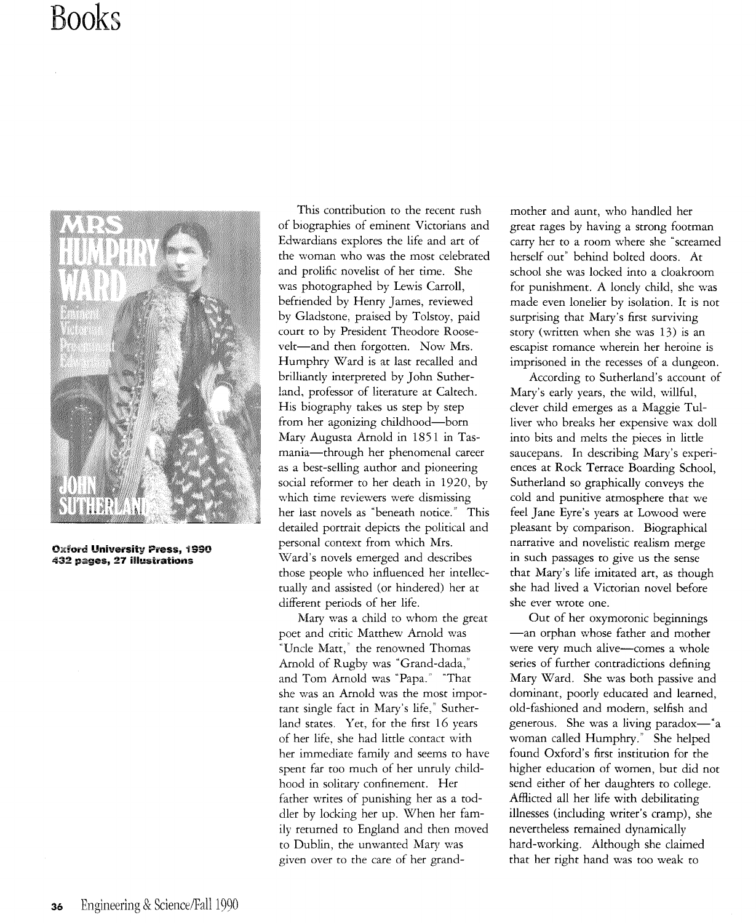# **Books**



Oxford **University** Press, i 990 432 pages, **27** illustrations

This contribution to the recent rush of biographies of eminent Victorians and Edwardians explores the life and art of the woman who was the most celebrated and prolific novelist of her time. She was photographed by Lewis Carroll, befriended by Henry James, reviewed by Gladstone, praised by Tolstoy, paid court to by President Theodore Roosevelt-and then forgotten. Now Mrs. Humphry Ward is at last recalled and brilliantly interpreted by John Sutherland, professor of literature at Caltech. His biography takes us step by step from her agonizing childhood-born Mary Augusta Arnold in 1851 in Tasmania-through her phenomenal career as a best-selling author and pioneering social reformer to her death in 1920, by which time reviewers were dismissing her last novels as "beneath notice." This detailed portrait depicts the political and personal context from which Mrs. Ward's novels emerged and describes those people who influenced her intellectually and assisted (or hindered) her at different periods of her life.

Mary was a child to whom the great poet and critic Matthew Arnold was "Uncle Matt," the renowned Thomas Arnold of Rugby was "Grand-dada," and Tom Arnold was "Papa." "That she was an Arnold was the most important single fact in Mary's life," Sutherland states. Yet, for the first 16 years of her life, she had little contact with her immediate family and seems to have spent far too much of her unruly childhood in solitary confinement. Her father writes of punishing her as a toddler by locking her up. When her family returned to England and then moved to Dublin, the unwanted Mary was given over to the care of her grandmother and aunt, who handled her great rages by having a strong footman carry her to a room where she "screamed herself out" behind bolted doors. At school she was locked into a cloakroom for punishment. A lonely child, she was made even lonelier by isolation. It is not surprising that Mary's first surviving story (written when she was 13) is an escapist romance wherein her heroine is imprisoned in the recesses of a dungeon.

According to Sutherland's account of Mary's early years, the wild, willful, clever child emerges as a Maggie Tulliver who breaks her expensive wax doll into bits and melts the pieces in little saucepans. In describing Mary's experiences at Rock Terrace Boarding School, Sutherland so graphically conveys the cold and punitive atmosphere that we feel Jane Eyre's years at Lowood were pleasant by comparison. Biographical narrative and novelistic realism merge in such passages to give us the sense that Mary's life imitated art, as though she had lived a Victorian novel before she ever wrote one.

Out of her oxymoronic beginnings -an orphan whose father and mother were very much alive-comes a whole series of further contradictions defining Mary Ward. She was both passive and dominant, poorly educated and learned, old-fashioned and modern, selfish and generous. She was a living paradox-" a woman called Humphry." She helped found Oxford's first institution for the higher education of women, but did not send either of her daughters to college. Affiicted all her life with debilitating illnesses (including writer's cramp), she nevertheless remained dynamically hard-working. Although she claimed that her right hand was too weak to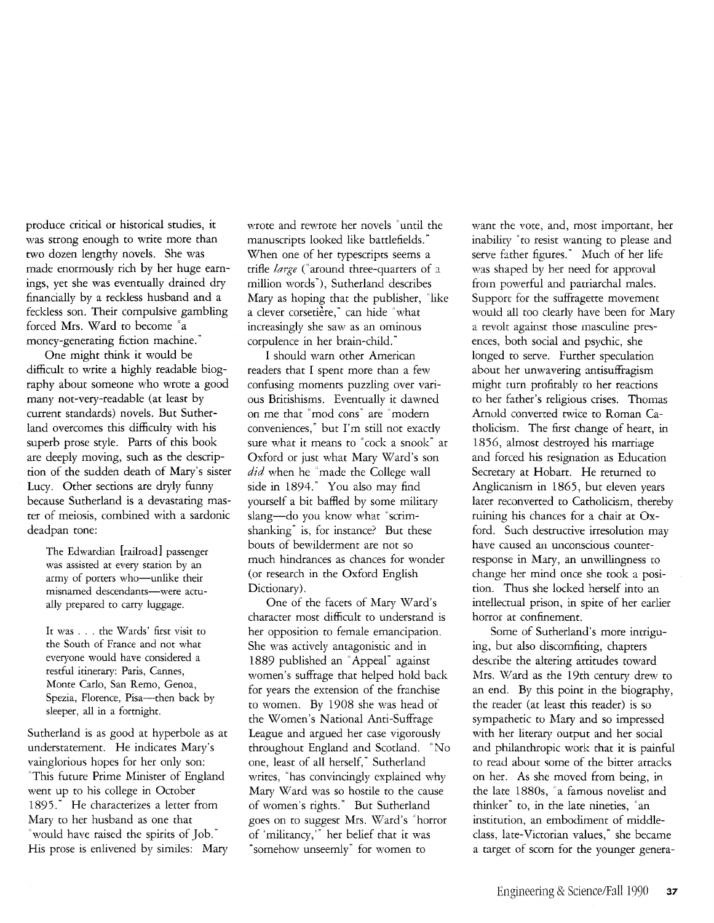produce critical or historical studies, it was strong enough to write more than two dozen lengthy novels. She was made enormously rich by her huge earnings, yet she was eventually drained dry financially by a reckless husband and a feckless son. Their compulsive gambling forced Mrs. Ward to become "a money-generating fiction machine."

One might think it would be difficult to write a highly readable biography about someone who wrote a good many not-very-readable (at least by current standards) novels. But Sutherland overcomes this difficulty with his superb prose style. Parts of this book are deeply moving, such as the description of the sudden death of Mary's sister Lucy. Other sections are dryly funny because Sutherland is a devastating master of meiosis, combined with a sardonic deadpan tone:

The Edwardian [railroad] passenger was assisted at every station by an army of porters who-unlike their misnamed descendants-were actually prepared to carry luggage.

It was ... the Wards' first visit to the South of France and not what everyone would have considered a restful itinerary: Paris, Cannes, Monte Carlo, San Remo, Genoa, Spezia, Florence, Pisa-then back by sleeper, all in a fortnight.

Sutherland is as good at hyperbole as at understatement. He indicates Mary's vainglorious hopes for her only son: "This future Prime Minister of England went up to his college in October 1895." He characterizes a letter from Mary to her husband as one that "would have raised the spirits of Job." His prose is enlivened by similes: Mary wrote and rewrote her novels "until the manuscripts looked like battlefields." When one of her typescripts seems a trifle *large* ("around three-quarters of a million words"), Sutherland describes Mary as hoping that the publisher, "like a clever corsetière," can hide "what increasingly she saw as an ominous corpulence in her brain-child."

I should warn other American readers that I spent more than a few confusing moments puzzling over various Britishisms. Eventually it dawned on me that "mod cons" are "modern conveniences," but 1'm still not exactly sure what it means to "cock a snook" at Oxford or just what Mary Ward's son *did* when he "made the College wall side in 1894." You also may find yourself a bit baffled by some military slang-do you know what "scrimshanking" is, for instance? But these bouts of bewilderment are not so much hindrances as chances for wonder (or research in the Oxford English Dictionary).

One of the facets of Mary Ward's character most difficult to understand is her opposition to female emancipation. She was actively antagonistic and in 1889 published an 'Appeal" against women's suffrage that helped hold back for years the extension of the franchise to women. By 1908 she was head of the Women's National Anti-Suffrage League and argued her case vigorously throughout England and Scotland. "No one, least of all herself," Sutherland writes, "has convincingly explained why Mary Ward was so hostile to the cause of women's rights." But Sutherland goes on to suggest Mrs. Ward's "horror of 'militancy,'" her belief that it was "somehow unseemly" for women to

want the vote, and, most important, her inability "to resist wanting to please and serve father figures." Much of her life was shaped by her need for approval from powerful and patriarchal males. Support for the suffragette movement would all too clearly have been for Mary a revolt against those masculine presences, both social and psychic, she longed to serve. Further speculation about her unwavering antisuffragism might turn profitably to her reactions to her father's religious crises. Thomas Arnold converted twice to Roman Catholicism. The first change of heart, in 1856, almost destroyed his marriage and forced his resignation as Education Secretary at Hobart. He returned to Anglicanism in 1865, but eleven years later reconverted to Catholicism, thereby tuining his chances for a chair at Oxford. Such destructive irresolution may have caused an unconscious counterresponse in Mary, an unwillingness to change her mind once she took a position. Thus she locked herself into an intellectual prison, in spite of her earlier horror at confinement.

Some of Sutherland's more intriguing, but also discomfiting, chapters describe the altering attitudes toward Mrs. Ward as the 19th century drew to an end. By this point in the biography, the reader (at least this reader) is so sympathetic to Mary and so impressed with her literary output and her social and philanthropic work that it is painful to read about some of the bitter attacks on her. As she moved from being, in the late 18805, 'a famous novelist and thinker" to, in the late nineties, "an institution, an embodiment of middleclass, late-Victorian values," she became a target of scorn for the younger genera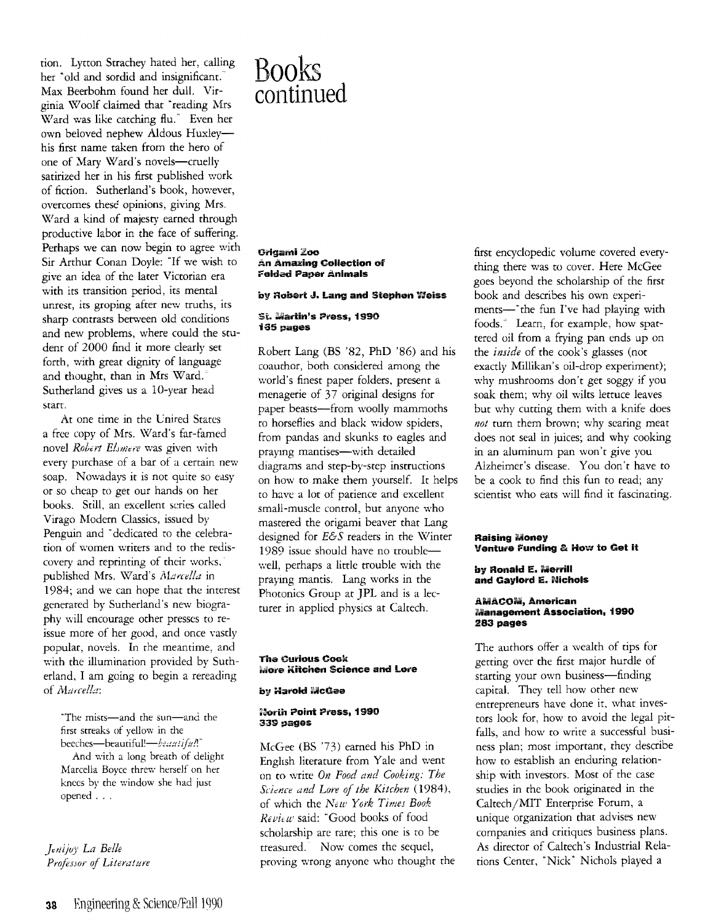tion. Lytton Strachey hated her, calling her "old and sordid and insignificant.' Max Beerbohm found her dull. Virginia Woolf claimed that "reading Mrs Ward was like catching flu." Even her own beloved nephew Aldous Huxleyhis first name taken from the hero of one of Mary Ward's novels-cruelly satirized her in his first published work of fiction. Sutherland's book, however, overcomes these opinions, giving Mrs. \Vard a kind of majesty earned through productive labor in the face of suffering. Perhaps we can now begin to agree with Sir Arthur Conan Doyle: "If we wish to give an idea of the later Victorian era with its transition period, its mental unrest, its groping after new truths, its sharp contrasts between old conditions and new problems, where could the student of 2000 find it more clearly set forth, with great dignity of language and thought, than in Mrs Ward. Sutherland gives us a 10-year head start.

At one time in the Cnired States a free copy of Mrs. Ward's far-famed novel *Robert Elsmere* was given with every purchase of a bar of a certain new soap. Nowadays it is not quite so easy or so Lheap to get our hands 00 her books. Still, an excellent series called Virago Modern Classics, issued by Penguin and "dedicated to the celebration of women writers and to the rediscovery and reprinting of their works, published Mrs. Ward's Marcella in 1984; and we can hope that the interest generated by Sutherland's new biography will encourage other presses to reissue more of her good, and once vastly popular, novels. In the meantime, and with the illumination provided by Sutherland, I am going to begin a rereading of *Marcella*:

"The mists-and the sun-and the first streaks of yellow in the beeches-beautiful!-*beautiful!*"

And with a long breath of delight Marcella Boyce threv; herself on her knees by the window she had just opened ...

*Jenijoy La Belle* Professor of Literature

# Books continued

Oi'lgamiZoo **An Amazing Collection of** Foldad Paper Animals

# by RGbart J. Lang and Stephen Weiss

# St. Martin's Press, 1990 135 pages

Robert Lang (BS '82, PhD '86) and his coauthor, both considered among the world's finest paper folders, present a menagerie of 37 original designs for paper beasts-from woolly mammoths to horseflies and black widow spiders, from pandas and skunks to eagles and praying mantises-with detailed diagrams and step-by-step instructions on how to make them yourself. It helps to have a lot of patience and excellent small-muscle control, but anyone who mastered the origami beaver that Lang designed for *E&S* readers in the Winter 1989 issue should have no troublewell, perhaps a little trouble with the praymg mantis. Lang works in the Photonics Group at JPL and is a lecturer in applied physics at Caltech.

# The Curious Cook **iviore Kitchen Science and Lore**

# by Harold McGee

#### North Point Press, 1990 339 pages

McGee (BS '73) earned his PhD io Enghsh literature from Yale and went on to write *On Food and Cooking: The Sciam arid Lore of the Kitchen (1984),*  of which the *NeW Yark Times Book Review* said: "Good books of food scholarship are rare; this one is to be treasured. Now comes the sequel, proving wrong anyone who thought the

first encyclopedic volume covered everything there was to cover. Here McGee goes beyond the scholarship of the first book and describes his own experiments-"the fun I've had playing with foods.' Learn, for example, how spattered oil from a frying pan ends up on the *inside* of the cook's glasses (not exactly Millikan's oil-drop experiment); why mushrooms don't get soggy if you soak them; why oil wilts lettuce leaves but why cutting them with a knife does *not* turn them brown; why searing meat does not seal in juices; and why cooking in an aluminum pan won't give you Alzheimer's disease. You don't have to be a cook to find this fun to read; any scientist who eats will find it fascinating.

# Raising Money Ventu,e Funding & How to Get It

### by Ronald E. Merrill and Gaylord E. Nichols

### AMACOM, American Management Association, 1990 283 pages

The authors offer a wealth of tips for getting over the first major hurdle of starting your own business-finding capital. They tell how other new entrepreneurs have done it, what investors look for, how to avoid the legal pitfalls, and how to write a successful business' plan; most important, they describe how to establish an enduring relationship with investors. Most of the case studies in the book originated in the Caltech/MIT Enterprise Forum, a unique organization that advises new companies and critiques business plans. As director of Caltech's Industrial Relations Center, "Nick' Nichols played a